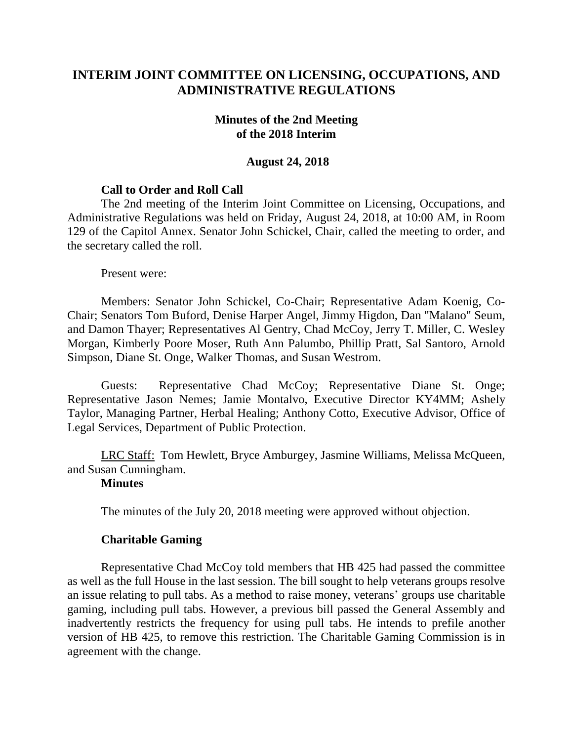# **INTERIM JOINT COMMITTEE ON LICENSING, OCCUPATIONS, AND ADMINISTRATIVE REGULATIONS**

### **Minutes of the 2nd Meeting of the 2018 Interim**

### **August 24, 2018**

## **Call to Order and Roll Call**

The 2nd meeting of the Interim Joint Committee on Licensing, Occupations, and Administrative Regulations was held on Friday, August 24, 2018, at 10:00 AM, in Room 129 of the Capitol Annex. Senator John Schickel, Chair, called the meeting to order, and the secretary called the roll.

Present were:

Members: Senator John Schickel, Co-Chair; Representative Adam Koenig, Co-Chair; Senators Tom Buford, Denise Harper Angel, Jimmy Higdon, Dan "Malano" Seum, and Damon Thayer; Representatives Al Gentry, Chad McCoy, Jerry T. Miller, C. Wesley Morgan, Kimberly Poore Moser, Ruth Ann Palumbo, Phillip Pratt, Sal Santoro, Arnold Simpson, Diane St. Onge, Walker Thomas, and Susan Westrom.

Guests: Representative Chad McCoy; Representative Diane St. Onge; Representative Jason Nemes; Jamie Montalvo, Executive Director KY4MM; Ashely Taylor, Managing Partner, Herbal Healing; Anthony Cotto, Executive Advisor, Office of Legal Services, Department of Public Protection.

LRC Staff: Tom Hewlett, Bryce Amburgey, Jasmine Williams, Melissa McQueen, and Susan Cunningham.

#### **Minutes**

The minutes of the July 20, 2018 meeting were approved without objection.

## **Charitable Gaming**

Representative Chad McCoy told members that HB 425 had passed the committee as well as the full House in the last session. The bill sought to help veterans groups resolve an issue relating to pull tabs. As a method to raise money, veterans' groups use charitable gaming, including pull tabs. However, a previous bill passed the General Assembly and inadvertently restricts the frequency for using pull tabs. He intends to prefile another version of HB 425, to remove this restriction. The Charitable Gaming Commission is in agreement with the change.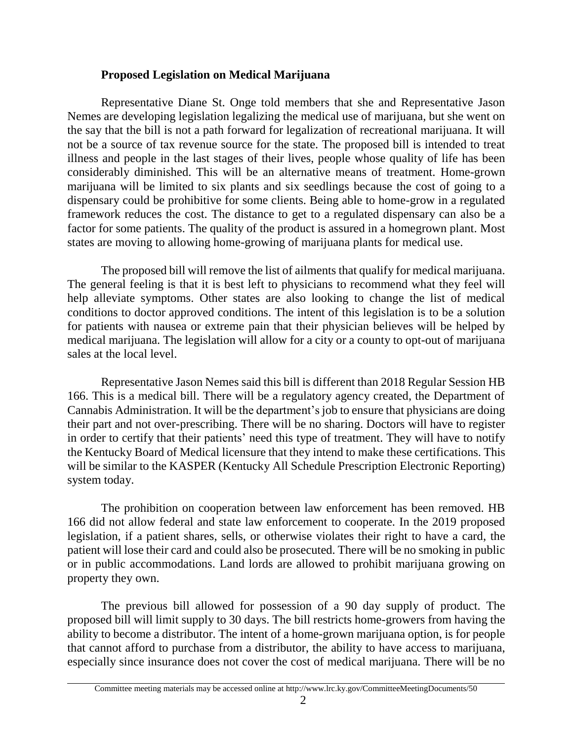### **Proposed Legislation on Medical Marijuana**

Representative Diane St. Onge told members that she and Representative Jason Nemes are developing legislation legalizing the medical use of marijuana, but she went on the say that the bill is not a path forward for legalization of recreational marijuana. It will not be a source of tax revenue source for the state. The proposed bill is intended to treat illness and people in the last stages of their lives, people whose quality of life has been considerably diminished. This will be an alternative means of treatment. Home-grown marijuana will be limited to six plants and six seedlings because the cost of going to a dispensary could be prohibitive for some clients. Being able to home-grow in a regulated framework reduces the cost. The distance to get to a regulated dispensary can also be a factor for some patients. The quality of the product is assured in a homegrown plant. Most states are moving to allowing home-growing of marijuana plants for medical use.

The proposed bill will remove the list of ailments that qualify for medical marijuana. The general feeling is that it is best left to physicians to recommend what they feel will help alleviate symptoms. Other states are also looking to change the list of medical conditions to doctor approved conditions. The intent of this legislation is to be a solution for patients with nausea or extreme pain that their physician believes will be helped by medical marijuana. The legislation will allow for a city or a county to opt-out of marijuana sales at the local level.

Representative Jason Nemes said this bill is different than 2018 Regular Session HB 166. This is a medical bill. There will be a regulatory agency created, the Department of Cannabis Administration. It will be the department's job to ensure that physicians are doing their part and not over-prescribing. There will be no sharing. Doctors will have to register in order to certify that their patients' need this type of treatment. They will have to notify the Kentucky Board of Medical licensure that they intend to make these certifications. This will be similar to the KASPER (Kentucky All Schedule Prescription Electronic Reporting) system today.

The prohibition on cooperation between law enforcement has been removed. HB 166 did not allow federal and state law enforcement to cooperate. In the 2019 proposed legislation, if a patient shares, sells, or otherwise violates their right to have a card, the patient will lose their card and could also be prosecuted. There will be no smoking in public or in public accommodations. Land lords are allowed to prohibit marijuana growing on property they own.

The previous bill allowed for possession of a 90 day supply of product. The proposed bill will limit supply to 30 days. The bill restricts home-growers from having the ability to become a distributor. The intent of a home-grown marijuana option, is for people that cannot afford to purchase from a distributor, the ability to have access to marijuana, especially since insurance does not cover the cost of medical marijuana. There will be no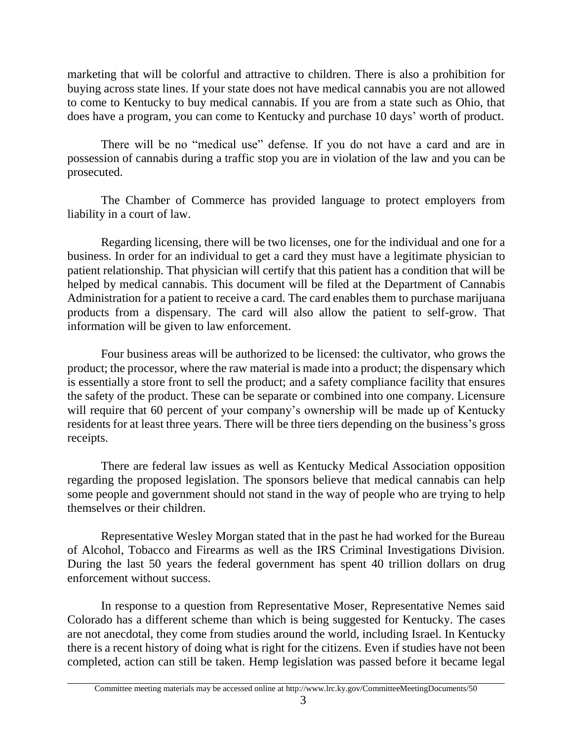marketing that will be colorful and attractive to children. There is also a prohibition for buying across state lines. If your state does not have medical cannabis you are not allowed to come to Kentucky to buy medical cannabis. If you are from a state such as Ohio, that does have a program, you can come to Kentucky and purchase 10 days' worth of product.

There will be no "medical use" defense. If you do not have a card and are in possession of cannabis during a traffic stop you are in violation of the law and you can be prosecuted.

The Chamber of Commerce has provided language to protect employers from liability in a court of law.

Regarding licensing, there will be two licenses, one for the individual and one for a business. In order for an individual to get a card they must have a legitimate physician to patient relationship. That physician will certify that this patient has a condition that will be helped by medical cannabis. This document will be filed at the Department of Cannabis Administration for a patient to receive a card. The card enables them to purchase marijuana products from a dispensary. The card will also allow the patient to self-grow. That information will be given to law enforcement.

Four business areas will be authorized to be licensed: the cultivator, who grows the product; the processor, where the raw material is made into a product; the dispensary which is essentially a store front to sell the product; and a safety compliance facility that ensures the safety of the product. These can be separate or combined into one company. Licensure will require that 60 percent of your company's ownership will be made up of Kentucky residents for at least three years. There will be three tiers depending on the business's gross receipts.

There are federal law issues as well as Kentucky Medical Association opposition regarding the proposed legislation. The sponsors believe that medical cannabis can help some people and government should not stand in the way of people who are trying to help themselves or their children.

Representative Wesley Morgan stated that in the past he had worked for the Bureau of Alcohol, Tobacco and Firearms as well as the IRS Criminal Investigations Division. During the last 50 years the federal government has spent 40 trillion dollars on drug enforcement without success.

In response to a question from Representative Moser, Representative Nemes said Colorado has a different scheme than which is being suggested for Kentucky. The cases are not anecdotal, they come from studies around the world, including Israel. In Kentucky there is a recent history of doing what is right for the citizens. Even if studies have not been completed, action can still be taken. Hemp legislation was passed before it became legal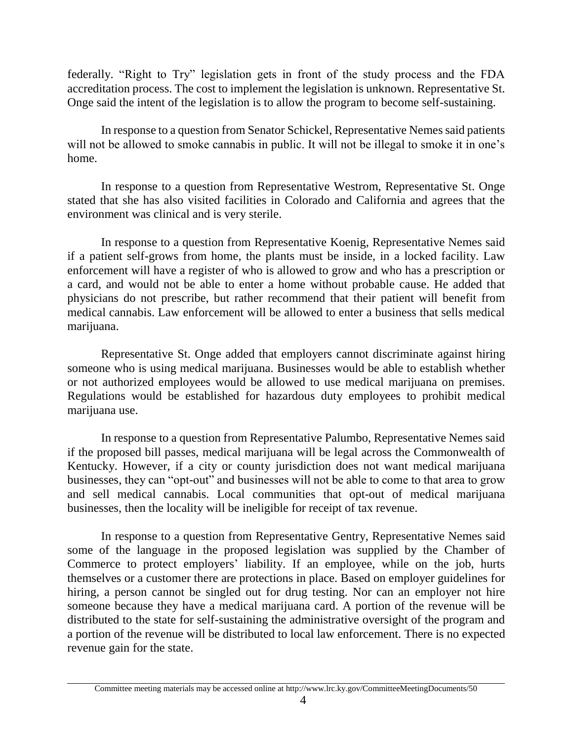federally. "Right to Try" legislation gets in front of the study process and the FDA accreditation process. The cost to implement the legislation is unknown. Representative St. Onge said the intent of the legislation is to allow the program to become self-sustaining.

In response to a question from Senator Schickel, Representative Nemes said patients will not be allowed to smoke cannabis in public. It will not be illegal to smoke it in one's home.

In response to a question from Representative Westrom, Representative St. Onge stated that she has also visited facilities in Colorado and California and agrees that the environment was clinical and is very sterile.

In response to a question from Representative Koenig, Representative Nemes said if a patient self-grows from home, the plants must be inside, in a locked facility. Law enforcement will have a register of who is allowed to grow and who has a prescription or a card, and would not be able to enter a home without probable cause. He added that physicians do not prescribe, but rather recommend that their patient will benefit from medical cannabis. Law enforcement will be allowed to enter a business that sells medical marijuana.

Representative St. Onge added that employers cannot discriminate against hiring someone who is using medical marijuana. Businesses would be able to establish whether or not authorized employees would be allowed to use medical marijuana on premises. Regulations would be established for hazardous duty employees to prohibit medical marijuana use.

In response to a question from Representative Palumbo, Representative Nemes said if the proposed bill passes, medical marijuana will be legal across the Commonwealth of Kentucky. However, if a city or county jurisdiction does not want medical marijuana businesses, they can "opt-out" and businesses will not be able to come to that area to grow and sell medical cannabis. Local communities that opt-out of medical marijuana businesses, then the locality will be ineligible for receipt of tax revenue.

In response to a question from Representative Gentry, Representative Nemes said some of the language in the proposed legislation was supplied by the Chamber of Commerce to protect employers' liability. If an employee, while on the job, hurts themselves or a customer there are protections in place. Based on employer guidelines for hiring, a person cannot be singled out for drug testing. Nor can an employer not hire someone because they have a medical marijuana card. A portion of the revenue will be distributed to the state for self-sustaining the administrative oversight of the program and a portion of the revenue will be distributed to local law enforcement. There is no expected revenue gain for the state.

Committee meeting materials may be accessed online at http://www.lrc.ky.gov/CommitteeMeetingDocuments/50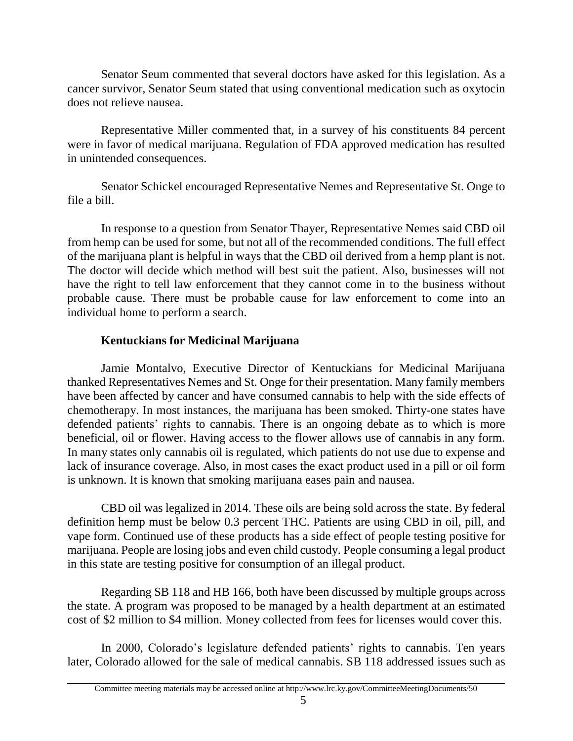Senator Seum commented that several doctors have asked for this legislation. As a cancer survivor, Senator Seum stated that using conventional medication such as oxytocin does not relieve nausea.

Representative Miller commented that, in a survey of his constituents 84 percent were in favor of medical marijuana. Regulation of FDA approved medication has resulted in unintended consequences.

Senator Schickel encouraged Representative Nemes and Representative St. Onge to file a bill.

In response to a question from Senator Thayer, Representative Nemes said CBD oil from hemp can be used for some, but not all of the recommended conditions. The full effect of the marijuana plant is helpful in ways that the CBD oil derived from a hemp plant is not. The doctor will decide which method will best suit the patient. Also, businesses will not have the right to tell law enforcement that they cannot come in to the business without probable cause. There must be probable cause for law enforcement to come into an individual home to perform a search.

# **Kentuckians for Medicinal Marijuana**

Jamie Montalvo, Executive Director of Kentuckians for Medicinal Marijuana thanked Representatives Nemes and St. Onge for their presentation. Many family members have been affected by cancer and have consumed cannabis to help with the side effects of chemotherapy. In most instances, the marijuana has been smoked. Thirty-one states have defended patients' rights to cannabis. There is an ongoing debate as to which is more beneficial, oil or flower. Having access to the flower allows use of cannabis in any form. In many states only cannabis oil is regulated, which patients do not use due to expense and lack of insurance coverage. Also, in most cases the exact product used in a pill or oil form is unknown. It is known that smoking marijuana eases pain and nausea.

CBD oil was legalized in 2014. These oils are being sold across the state. By federal definition hemp must be below 0.3 percent THC. Patients are using CBD in oil, pill, and vape form. Continued use of these products has a side effect of people testing positive for marijuana. People are losing jobs and even child custody. People consuming a legal product in this state are testing positive for consumption of an illegal product.

Regarding SB 118 and HB 166, both have been discussed by multiple groups across the state. A program was proposed to be managed by a health department at an estimated cost of \$2 million to \$4 million. Money collected from fees for licenses would cover this.

In 2000, Colorado's legislature defended patients' rights to cannabis. Ten years later, Colorado allowed for the sale of medical cannabis. SB 118 addressed issues such as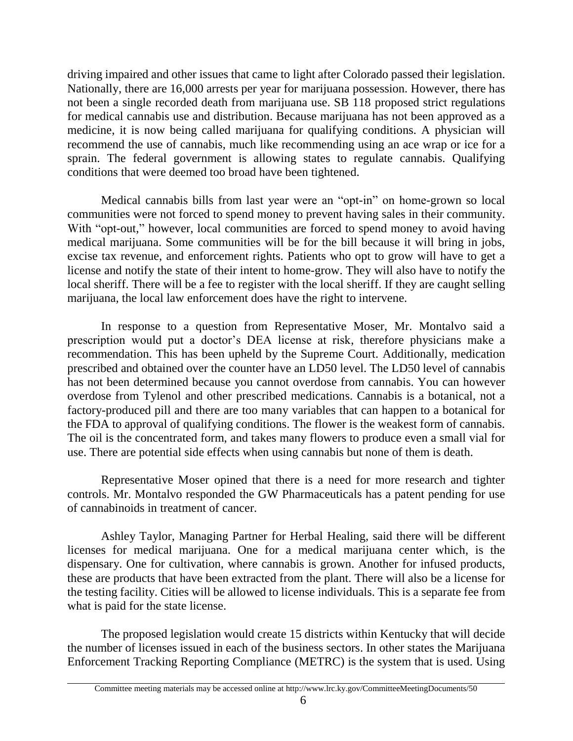driving impaired and other issues that came to light after Colorado passed their legislation. Nationally, there are 16,000 arrests per year for marijuana possession. However, there has not been a single recorded death from marijuana use. SB 118 proposed strict regulations for medical cannabis use and distribution. Because marijuana has not been approved as a medicine, it is now being called marijuana for qualifying conditions. A physician will recommend the use of cannabis, much like recommending using an ace wrap or ice for a sprain. The federal government is allowing states to regulate cannabis. Qualifying conditions that were deemed too broad have been tightened.

Medical cannabis bills from last year were an "opt-in" on home-grown so local communities were not forced to spend money to prevent having sales in their community. With "opt-out," however, local communities are forced to spend money to avoid having medical marijuana. Some communities will be for the bill because it will bring in jobs, excise tax revenue, and enforcement rights. Patients who opt to grow will have to get a license and notify the state of their intent to home-grow. They will also have to notify the local sheriff. There will be a fee to register with the local sheriff. If they are caught selling marijuana, the local law enforcement does have the right to intervene.

In response to a question from Representative Moser, Mr. Montalvo said a prescription would put a doctor's DEA license at risk, therefore physicians make a recommendation. This has been upheld by the Supreme Court. Additionally, medication prescribed and obtained over the counter have an LD50 level. The LD50 level of cannabis has not been determined because you cannot overdose from cannabis. You can however overdose from Tylenol and other prescribed medications. Cannabis is a botanical, not a factory-produced pill and there are too many variables that can happen to a botanical for the FDA to approval of qualifying conditions. The flower is the weakest form of cannabis. The oil is the concentrated form, and takes many flowers to produce even a small vial for use. There are potential side effects when using cannabis but none of them is death.

Representative Moser opined that there is a need for more research and tighter controls. Mr. Montalvo responded the GW Pharmaceuticals has a patent pending for use of cannabinoids in treatment of cancer.

Ashley Taylor, Managing Partner for Herbal Healing, said there will be different licenses for medical marijuana. One for a medical marijuana center which, is the dispensary. One for cultivation, where cannabis is grown. Another for infused products, these are products that have been extracted from the plant. There will also be a license for the testing facility. Cities will be allowed to license individuals. This is a separate fee from what is paid for the state license.

The proposed legislation would create 15 districts within Kentucky that will decide the number of licenses issued in each of the business sectors. In other states the Marijuana Enforcement Tracking Reporting Compliance (METRC) is the system that is used. Using